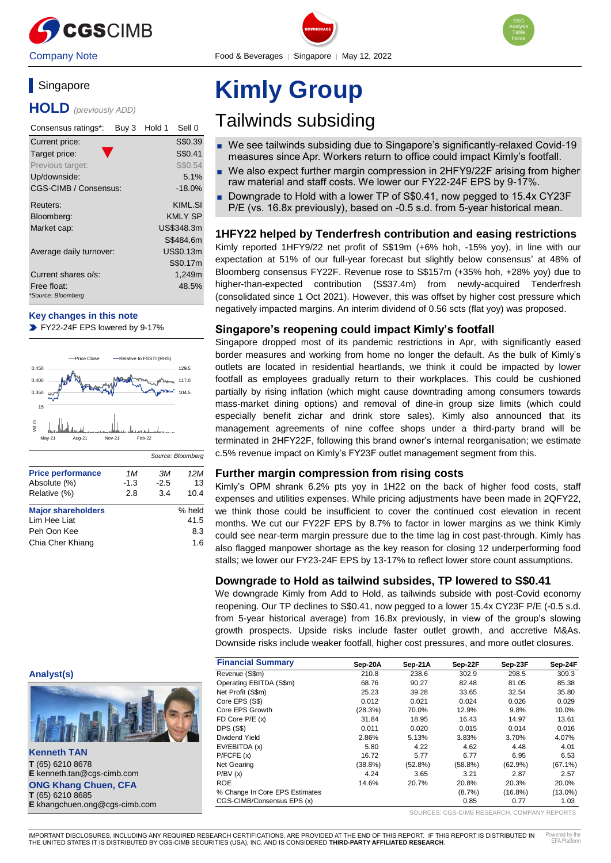

# Singapore

**HOLD** *(previously ADD)*

| Consensus ratings*:               | Buy 3 | Hold 1 | Sell 0         |
|-----------------------------------|-------|--------|----------------|
| Current price:                    |       |        | S\$0.39        |
| Target price:                     |       |        | S\$0.41        |
| Previous target:                  |       |        | S\$0.54        |
| Up/downside:                      |       |        | 5.1%           |
| CGS-CIMB / Consensus:             |       |        | $-18.0\%$      |
| Reuters:                          |       |        | KIML.SI        |
| Bloomberg:                        |       |        | <b>KMLY SP</b> |
| Market cap:                       |       |        | US\$348.3m     |
|                                   |       |        | S\$484.6m      |
| Average daily turnover:           |       |        | US\$0.13m      |
|                                   |       |        | S\$0.17m       |
| Current shares o/s:               |       |        | 1,249m         |
| Free float:<br>*Source: Bloomberg |       |        | 48.5%          |

## **Key changes in this note**

FY22-24F EPS lowered by 9-17%



| <b>Price performance</b>  | 1M     | ЗМ     | 12M    |
|---------------------------|--------|--------|--------|
| Absolute (%)              | $-1.3$ | $-2.5$ | 13     |
| Relative (%)              | 2.8    | 3.4    | 10.4   |
| <b>Major shareholders</b> |        |        | % held |
| Lim Hee Liat              |        |        | 41.5   |
| Peh Oon Kee               |        |        | 8.3    |
| Chia Cher Khiang          |        |        | 1 6    |
|                           |        |        |        |

# **Analyst(s)**



**Kenneth TAN T** (65) 6210 8678 **E** kenneth.tan@cgs-cimb.com **ONG Khang Chuen, CFA T** (65) 6210 8685 **E** khangchuen.ong@cgs-cimb.com

# **Kimly Group**

# Tailwinds subsiding

DOWNGRADE

- We see tailwinds subsiding due to Singapore's significantly-relaxed Covid-19 measures since Apr. Workers return to office could impact Kimly's footfall.
- We also expect further margin compression in 2HFY9/22F arising from higher raw material and staff costs. We lower our FY22-24F EPS by 9-17%.
- Downgrade to Hold with a lower TP of S\$0.41, now pegged to 15.4x CY23F P/E (vs. 16.8x previously), based on -0.5 s.d. from 5-year historical mean.

# **1HFY22 helped by Tenderfresh contribution and easing restrictions**

Kimly reported 1HFY9/22 net profit of S\$19m (+6% hoh, -15% yoy), in line with our expectation at 51% of our full-year forecast but slightly below consensus' at 48% of Bloomberg consensus FY22F. Revenue rose to S\$157m (+35% hoh, +28% yoy) due to higher-than-expected contribution (S\$37.4m) from newly-acquired Tenderfresh (consolidated since 1 Oct 2021). However, this was offset by higher cost pressure which negatively impacted margins. An interim dividend of 0.56 scts (flat yoy) was proposed.

# **Singapore's reopening could impact Kimly's footfall**

Singapore dropped most of its pandemic restrictions in Apr, with significantly eased border measures and working from home no longer the default. As the bulk of Kimly's outlets are located in residential heartlands, we think it could be impacted by lower footfall as employees gradually return to their workplaces. This could be cushioned partially by rising inflation (which might cause downtrading among consumers towards mass-market dining options) and removal of dine-in group size limits (which could especially benefit zichar and drink store sales). Kimly also announced that its management agreements of nine coffee shops under a third-party brand will be terminated in 2HFY22F, following this brand owner's internal reorganisation; we estimate c.5% revenue impact on Kimly's FY23F outlet management segment from this.

# **Further margin compression from rising costs**

Kimly's OPM shrank 6.2% pts yoy in 1H22 on the back of higher food costs, staff expenses and utilities expenses. While pricing adjustments have been made in 2QFY22, we think those could be insufficient to cover the continued cost elevation in recent months. We cut our FY22F EPS by 8.7% to factor in lower margins as we think Kimly could see near-term margin pressure due to the time lag in cost past-through. Kimly has also flagged manpower shortage as the key reason for closing 12 underperforming food stalls; we lower our FY23-24F EPS by 13-17% to reflect lower store count assumptions.

# **Downgrade to Hold as tailwind subsides, TP lowered to S\$0.41**

We downgrade Kimly from Add to Hold, as tailwinds subside with post-Covid economy reopening. Our TP declines to S\$0.41, now pegged to a lower 15.4x CY23F P/E (-0.5 s.d. from 5-year historical average) from 16.8x previously, in view of the group's slowing growth prospects. Upside risks include faster outlet growth, and accretive M&As. Downside risks include weaker footfall, higher cost pressures, and more outlet closures.

| <b>Financial Summary</b>       | Sep-20A    | Sep-21A | Sep-22F    | Sep-23F    | Sep-24F    |
|--------------------------------|------------|---------|------------|------------|------------|
| Revenue (S\$m)                 | 210.8      | 238.6   | 302.9      | 298.5      | 309.3      |
| Operating EBITDA (S\$m)        | 68.76      | 90.27   | 82.48      | 81.05      | 85.38      |
| Net Profit (S\$m)              | 25.23      | 39.28   | 33.65      | 32.54      | 35.80      |
| Core EPS (S\$)                 | 0.012      | 0.021   | 0.024      | 0.026      | 0.029      |
| Core EPS Growth                | (28.3%)    | 70.0%   | 12.9%      | 9.8%       | 10.0%      |
| FD Core $P/E(x)$               | 31.84      | 18.95   | 16.43      | 14.97      | 13.61      |
| <b>DPS (S\$)</b>               | 0.011      | 0.020   | 0.015      | 0.014      | 0.016      |
| Dividend Yield                 | 2.86%      | 5.13%   | 3.83%      | 3.70%      | 4.07%      |
| EV/EBITDA (x)                  | 5.80       | 4.22    | 4.62       | 4.48       | 4.01       |
| P/FCFE(x)                      | 16.72      | 5.77    | 6.77       | 6.95       | 6.53       |
| Net Gearing                    | $(38.8\%)$ | (52.8%) | $(58.8\%)$ | (62.9%)    | $(67.1\%)$ |
| P/BV(x)                        | 4.24       | 3.65    | 3.21       | 2.87       | 2.57       |
| <b>ROE</b>                     | 14.6%      | 20.7%   | 20.8%      | 20.3%      | 20.0%      |
| % Change In Core EPS Estimates |            |         | $(8.7\%)$  | $(16.8\%)$ | $(13.0\%)$ |
| CGS-CIMB/Consensus EPS (x)     |            |         | 0.85       | 0.77       | 1.03       |

SOURCES: CGS-CIMB RESEARCH, COMPANY REPORTS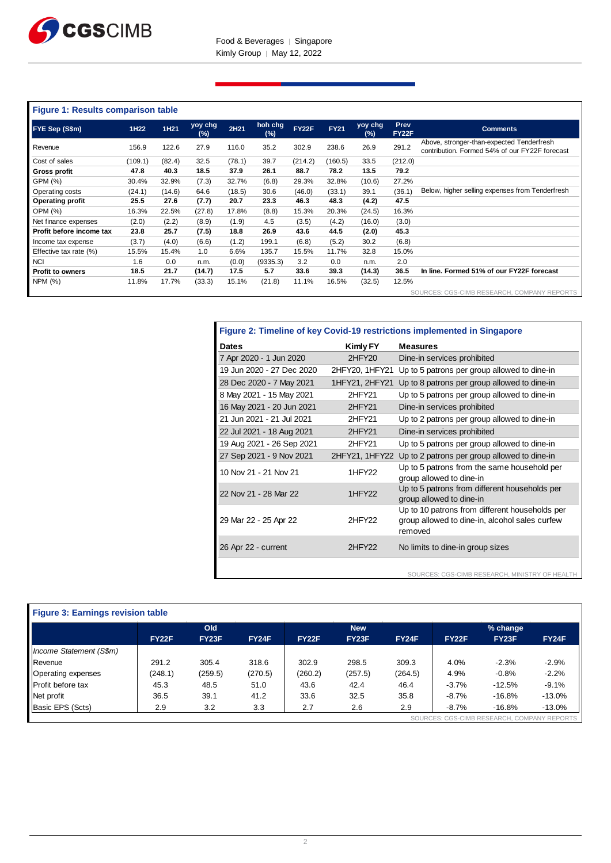

# **Figure 1: Results comparison table**

| FYE Sep (S\$m)           | 1H22    | 1H21   | yoy chg<br>(%) | 2H21   | hoh chg<br>(%) | <b>FY22F</b> | <b>FY21</b> | yoy chg<br>$(\%)$ | Prev<br><b>FY22F</b> | <b>Comments</b>                                                                             |
|--------------------------|---------|--------|----------------|--------|----------------|--------------|-------------|-------------------|----------------------|---------------------------------------------------------------------------------------------|
| Revenue                  | 156.9   | 122.6  | 27.9           | 116.0  | 35.2           | 302.9        | 238.6       | 26.9              | 291.2                | Above, stronger-than-expected Tenderfresh<br>contribution. Formed 54% of our FY22F forecast |
| Cost of sales            | (109.1) | (82.4) | 32.5           | (78.1) | 39.7           | (214.2)      | (160.5)     | 33.5              | (212.0)              |                                                                                             |
| Gross profit             | 47.8    | 40.3   | 18.5           | 37.9   | 26.1           | 88.7         | 78.2        | 13.5              | 79.2                 |                                                                                             |
| GPM (%)                  | 30.4%   | 32.9%  | (7.3)          | 32.7%  | (6.8)          | 29.3%        | 32.8%       | (10.6)            | 27.2%                |                                                                                             |
| Operating costs          | (24.1)  | (14.6) | 64.6           | (18.5) | 30.6           | (46.0)       | (33.1)      | 39.1              | (36.1)               | Below, higher selling expenses from Tenderfresh                                             |
| <b>Operating profit</b>  | 25.5    | 27.6   | (7.7)          | 20.7   | 23.3           | 46.3         | 48.3        | (4.2)             | 47.5                 |                                                                                             |
| OPM (%)                  | 16.3%   | 22.5%  | (27.8)         | 17.8%  | (8.8)          | 15.3%        | 20.3%       | (24.5)            | 16.3%                |                                                                                             |
| Net finance expenses     | (2.0)   | (2.2)  | (8.9)          | (1.9)  | 4.5            | (3.5)        | (4.2)       | (16.0)            | (3.0)                |                                                                                             |
| Profit before income tax | 23.8    | 25.7   | (7.5)          | 18.8   | 26.9           | 43.6         | 44.5        | (2.0)             | 45.3                 |                                                                                             |
| Income tax expense       | (3.7)   | (4.0)  | (6.6)          | (1.2)  | 199.1          | (6.8)        | (5.2)       | 30.2              | (6.8)                |                                                                                             |
| Effective tax rate (%)   | 15.5%   | 15.4%  | 1.0            | 6.6%   | 135.7          | 15.5%        | 11.7%       | 32.8              | 15.0%                |                                                                                             |
| <b>NCI</b>               | 1.6     | 0.0    | n.m.           | (0.0)  | (9335.3)       | 3.2          | 0.0         | n.m.              | 2.0                  |                                                                                             |
| <b>Profit to owners</b>  | 18.5    | 21.7   | (14.7)         | 17.5   | 5.7            | 33.6         | 39.3        | (14.3)            | 36.5                 | In line. Formed 51% of our FY22F forecast                                                   |
| NPM (%)                  | 11.8%   | 17.7%  | (33.3)         | 15.1%  | (21.8)         | 11.1%        | 16.5%       | (32.5)            | 12.5%                |                                                                                             |
|                          |         |        |                |        |                |              |             |                   |                      | SOURCES: CGS-CIMB RESEARCH, COMPANY REPORTS                                                 |

| Figure 2: Timeline of key Covid-19 restrictions implemented in Singapore |                    |                                                                                                             |  |  |  |  |  |
|--------------------------------------------------------------------------|--------------------|-------------------------------------------------------------------------------------------------------------|--|--|--|--|--|
| <b>Dates</b>                                                             | Kimly FY           | <b>Measures</b>                                                                                             |  |  |  |  |  |
| 7 Apr 2020 - 1 Jun 2020                                                  | 2HFY20             | Dine-in services prohibited                                                                                 |  |  |  |  |  |
| 19 Jun 2020 - 27 Dec 2020                                                | 2HFY20, 1HFY21     | Up to 5 patrons per group allowed to dine-in                                                                |  |  |  |  |  |
| 28 Dec 2020 - 7 May 2021                                                 | 1HFY21, 2HFY21     | Up to 8 patrons per group allowed to dine-in                                                                |  |  |  |  |  |
| 8 May 2021 - 15 May 2021                                                 | 2HFY <sub>21</sub> | Up to 5 patrons per group allowed to dine-in                                                                |  |  |  |  |  |
| 16 May 2021 - 20 Jun 2021                                                | 2HFY21             | Dine-in services prohibited                                                                                 |  |  |  |  |  |
| 21 Jun 2021 - 21 Jul 2021                                                | 2HFY <sub>21</sub> | Up to 2 patrons per group allowed to dine-in                                                                |  |  |  |  |  |
| 22 Jul 2021 - 18 Aug 2021                                                | 2HFY <sub>21</sub> | Dine-in services prohibited                                                                                 |  |  |  |  |  |
| 19 Aug 2021 - 26 Sep 2021                                                | 2HFY21             | Up to 5 patrons per group allowed to dine-in                                                                |  |  |  |  |  |
| 27 Sep 2021 - 9 Nov 2021                                                 | 2HFY21, 1HFY22     | Up to 2 patrons per group allowed to dine-in                                                                |  |  |  |  |  |
| 10 Nov 21 - 21 Nov 21                                                    | 1HFY22             | Up to 5 patrons from the same household per<br>group allowed to dine-in                                     |  |  |  |  |  |
| 22 Nov 21 - 28 Mar 22                                                    | 1HFY <sub>22</sub> | Up to 5 patrons from different households per<br>group allowed to dine-in                                   |  |  |  |  |  |
| 29 Mar 22 - 25 Apr 22                                                    | 2HFY22             | Up to 10 patrons from different households per<br>group allowed to dine-in, alcohol sales curfew<br>removed |  |  |  |  |  |
| 26 Apr 22 - current                                                      | 2HFY22             | No limits to dine-in group sizes                                                                            |  |  |  |  |  |
|                                                                          |                    | SOURCES: CGS-CIMB RESEARCH, MINISTRY OF HEALTH                                                              |  |  |  |  |  |

| <b>Figure 3: Earnings revision table</b> |              |         |              |              |         |              |              |                                 |                |
|------------------------------------------|--------------|---------|--------------|--------------|---------|--------------|--------------|---------------------------------|----------------|
|                                          | Old          |         |              | <b>New</b>   |         |              | % change     |                                 |                |
|                                          | <b>FY22F</b> | FY23F   | <b>FY24F</b> | <b>FY22F</b> | FY23F   | <b>FY24F</b> | <b>FY22F</b> | FY23F                           | <b>FY24F</b>   |
| Income Statement (S\$m)                  |              |         |              |              |         |              |              |                                 |                |
| Revenue                                  | 291.2        | 305.4   | 318.6        | 302.9        | 298.5   | 309.3        | 4.0%         | $-2.3%$                         | $-2.9%$        |
| Operating expenses                       | (248.1)      | (259.5) | (270.5)      | (260.2)      | (257.5) | (264.5)      | 4.9%         | $-0.8%$                         | $-2.2%$        |
| Profit before tax                        | 45.3         | 48.5    | 51.0         | 43.6         | 42.4    | 46.4         | $-3.7%$      | $-12.5%$                        | $-9.1%$        |
| Net profit                               | 36.5         | 39.1    | 41.2         | 33.6         | 32.5    | 35.8         | $-8.7%$      | $-16.8%$                        | $-13.0%$       |
| Basic EPS (Scts)                         | 2.9          | 3.2     | 3.3          | 2.7          | 2.6     | 2.9          | $-8.7%$      | $-16.8%$                        | $-13.0%$       |
|                                          |              |         |              |              |         |              |              | SOURCES: CGS-CIMB RESEARCH, COM | <b>REPORTS</b> |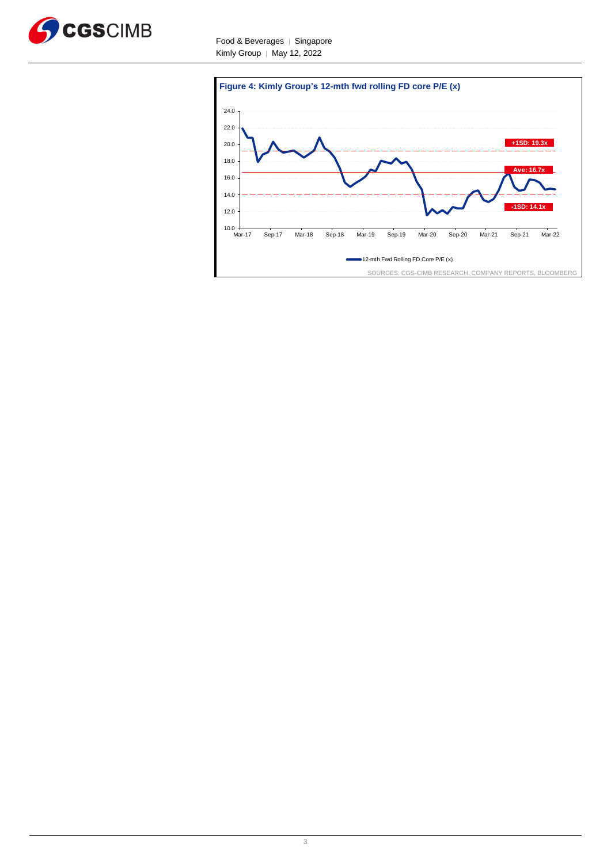



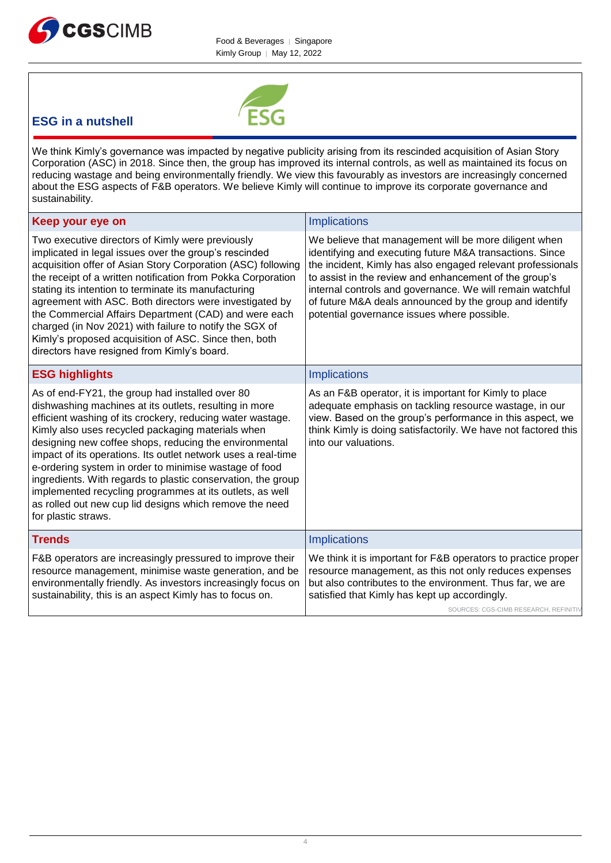



# **ESG in a nutshell**

We think Kimly's governance was impacted by negative publicity arising from its rescinded acquisition of Asian Story Corporation (ASC) in 2018. Since then, the group has improved its internal controls, as well as maintained its focus on reducing wastage and being environmentally friendly. We view this favourably as investors are increasingly concerned about the ESG aspects of F&B operators. We believe Kimly will continue to improve its corporate governance and sustainability.

| Keep your eye on                                                                                                                                                                                                                                                                                                                                                                                                                                                                                                                                                                                                                | <b>Implications</b>                                                                                                                                                                                                                                                                                                                                                                                               |
|---------------------------------------------------------------------------------------------------------------------------------------------------------------------------------------------------------------------------------------------------------------------------------------------------------------------------------------------------------------------------------------------------------------------------------------------------------------------------------------------------------------------------------------------------------------------------------------------------------------------------------|-------------------------------------------------------------------------------------------------------------------------------------------------------------------------------------------------------------------------------------------------------------------------------------------------------------------------------------------------------------------------------------------------------------------|
| Two executive directors of Kimly were previously<br>implicated in legal issues over the group's rescinded<br>acquisition offer of Asian Story Corporation (ASC) following<br>the receipt of a written notification from Pokka Corporation<br>stating its intention to terminate its manufacturing<br>agreement with ASC. Both directors were investigated by<br>the Commercial Affairs Department (CAD) and were each<br>charged (in Nov 2021) with failure to notify the SGX of<br>Kimly's proposed acquisition of ASC. Since then, both<br>directors have resigned from Kimly's board.                                        | We believe that management will be more diligent when<br>identifying and executing future M&A transactions. Since<br>the incident, Kimly has also engaged relevant professionals<br>to assist in the review and enhancement of the group's<br>internal controls and governance. We will remain watchful<br>of future M&A deals announced by the group and identify<br>potential governance issues where possible. |
| <b>ESG highlights</b>                                                                                                                                                                                                                                                                                                                                                                                                                                                                                                                                                                                                           | Implications                                                                                                                                                                                                                                                                                                                                                                                                      |
| As of end-FY21, the group had installed over 80<br>dishwashing machines at its outlets, resulting in more<br>efficient washing of its crockery, reducing water wastage.<br>Kimly also uses recycled packaging materials when<br>designing new coffee shops, reducing the environmental<br>impact of its operations. Its outlet network uses a real-time<br>e-ordering system in order to minimise wastage of food<br>ingredients. With regards to plastic conservation, the group<br>implemented recycling programmes at its outlets, as well<br>as rolled out new cup lid designs which remove the need<br>for plastic straws. | As an F&B operator, it is important for Kimly to place<br>adequate emphasis on tackling resource wastage, in our<br>view. Based on the group's performance in this aspect, we<br>think Kimly is doing satisfactorily. We have not factored this<br>into our valuations.                                                                                                                                           |
| <b>Trends</b>                                                                                                                                                                                                                                                                                                                                                                                                                                                                                                                                                                                                                   | <b>Implications</b>                                                                                                                                                                                                                                                                                                                                                                                               |
| F&B operators are increasingly pressured to improve their<br>resource management, minimise waste generation, and be<br>environmentally friendly. As investors increasingly focus on<br>sustainability, this is an aspect Kimly has to focus on.                                                                                                                                                                                                                                                                                                                                                                                 | We think it is important for F&B operators to practice proper<br>resource management, as this not only reduces expenses<br>but also contributes to the environment. Thus far, we are<br>satisfied that Kimly has kept up accordingly.<br>SOURCES: CGS-CIMB RESEARCH, REFINITIV                                                                                                                                    |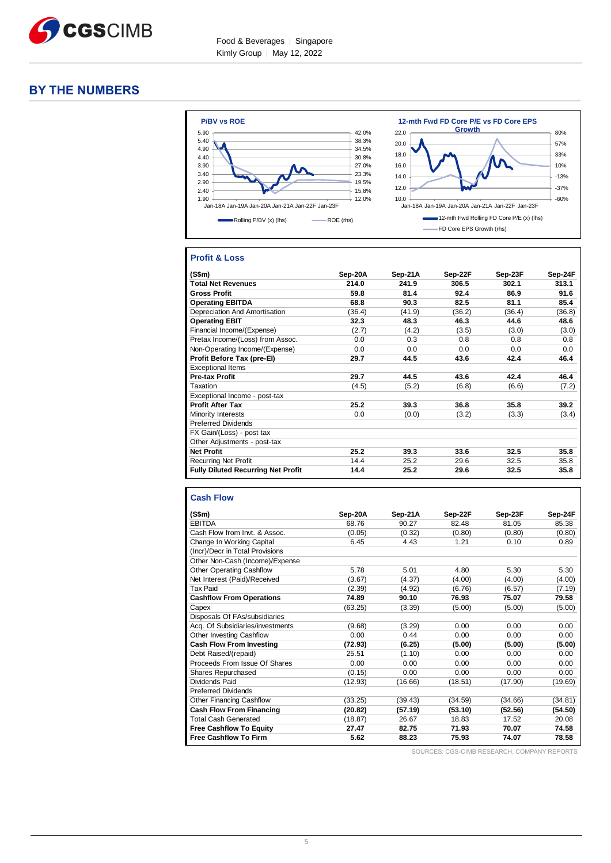

# **BY THE NUMBERS**



## **Profit & Loss**

| (S\$m)                                    | Sep-20A | Sep-21A | Sep-22F | Sep-23F | Sep-24F |
|-------------------------------------------|---------|---------|---------|---------|---------|
| <b>Total Net Revenues</b>                 | 214.0   | 241.9   | 306.5   | 302.1   | 313.1   |
| <b>Gross Profit</b>                       | 59.8    | 81.4    | 92.4    | 86.9    | 91.6    |
| <b>Operating EBITDA</b>                   | 68.8    | 90.3    | 82.5    | 81.1    | 85.4    |
| Depreciation And Amortisation             | (36.4)  | (41.9)  | (36.2)  | (36.4)  | (36.8)  |
| <b>Operating EBIT</b>                     | 32.3    | 48.3    | 46.3    | 44.6    | 48.6    |
| Financial Income/(Expense)                | (2.7)   | (4.2)   | (3.5)   | (3.0)   | (3.0)   |
| Pretax Income/(Loss) from Assoc.          | 0.0     | 0.3     | 0.8     | 0.8     | 0.8     |
| Non-Operating Income/(Expense)            | 0.0     | 0.0     | 0.0     | 0.0     | 0.0     |
| Profit Before Tax (pre-El)                | 29.7    | 44.5    | 43.6    | 42.4    | 46.4    |
| <b>Exceptional Items</b>                  |         |         |         |         |         |
| <b>Pre-tax Profit</b>                     | 29.7    | 44.5    | 43.6    | 42.4    | 46.4    |
| Taxation                                  | (4.5)   | (5.2)   | (6.8)   | (6.6)   | (7.2)   |
| Exceptional Income - post-tax             |         |         |         |         |         |
| <b>Profit After Tax</b>                   | 25.2    | 39.3    | 36.8    | 35.8    | 39.2    |
| Minority Interests                        | 0.0     | (0.0)   | (3.2)   | (3.3)   | (3.4)   |
| <b>Preferred Dividends</b>                |         |         |         |         |         |
| FX Gain/(Loss) - post tax                 |         |         |         |         |         |
| Other Adjustments - post-tax              |         |         |         |         |         |
| <b>Net Profit</b>                         | 25.2    | 39.3    | 33.6    | 32.5    | 35.8    |
| <b>Recurring Net Profit</b>               | 14.4    | 25.2    | 29.6    | 32.5    | 35.8    |
| <b>Fully Diluted Recurring Net Profit</b> | 14.4    | 25.2    | 29.6    | 32.5    | 35.8    |

#### **Cash Flow**

| (S\$m)                           | Sep-20A | Sep-21A | Sep-22F | Sep-23F | Sep-24F |
|----------------------------------|---------|---------|---------|---------|---------|
| <b>EBITDA</b>                    | 68.76   | 90.27   | 82.48   | 81.05   | 85.38   |
| Cash Flow from Invt. & Assoc.    | (0.05)  | (0.32)  | (0.80)  | (0.80)  | (0.80)  |
| Change In Working Capital        | 6.45    | 4.43    | 1.21    | 0.10    | 0.89    |
| (Incr)/Decr in Total Provisions  |         |         |         |         |         |
| Other Non-Cash (Income)/Expense  |         |         |         |         |         |
| <b>Other Operating Cashflow</b>  | 5.78    | 5.01    | 4.80    | 5.30    | 5.30    |
| Net Interest (Paid)/Received     | (3.67)  | (4.37)  | (4.00)  | (4.00)  | (4.00)  |
| <b>Tax Paid</b>                  | (2.39)  | (4.92)  | (6.76)  | (6.57)  | (7.19)  |
| <b>Cashflow From Operations</b>  | 74.89   | 90.10   | 76.93   | 75.07   | 79.58   |
| Capex                            | (63.25) | (3.39)  | (5.00)  | (5.00)  | (5.00)  |
| Disposals Of FAs/subsidiaries    |         |         |         |         |         |
| Acq. Of Subsidiaries/investments | (9.68)  | (3.29)  | 0.00    | 0.00    | 0.00    |
| Other Investing Cashflow         | 0.00    | 0.44    | 0.00    | 0.00    | 0.00    |
| <b>Cash Flow From Investing</b>  | (72.93) | (6.25)  | (5.00)  | (5.00)  | (5.00)  |
| Debt Raised/(repaid)             | 25.51   | (1.10)  | 0.00    | 0.00    | 0.00    |
| Proceeds From Issue Of Shares    | 0.00    | 0.00    | 0.00    | 0.00    | 0.00    |
| Shares Repurchased               | (0.15)  | 0.00    | 0.00    | 0.00    | 0.00    |
| Dividends Paid                   | (12.93) | (16.66) | (18.51) | (17.90) | (19.69) |
| <b>Preferred Dividends</b>       |         |         |         |         |         |
| Other Financing Cashflow         | (33.25) | (39.43) | (34.59) | (34.66) | (34.81) |
| <b>Cash Flow From Financing</b>  | (20.82) | (57.19) | (53.10) | (52.56) | (54.50) |
| <b>Total Cash Generated</b>      | (18.87) | 26.67   | 18.83   | 17.52   | 20.08   |
| <b>Free Cashflow To Equity</b>   | 27.47   | 82.75   | 71.93   | 70.07   | 74.58   |
| <b>Free Cashflow To Firm</b>     | 5.62    | 88.23   | 75.93   | 74.07   | 78.58   |

SOURCES: CGS-CIMB RESEARCH, COMPANY REPORTS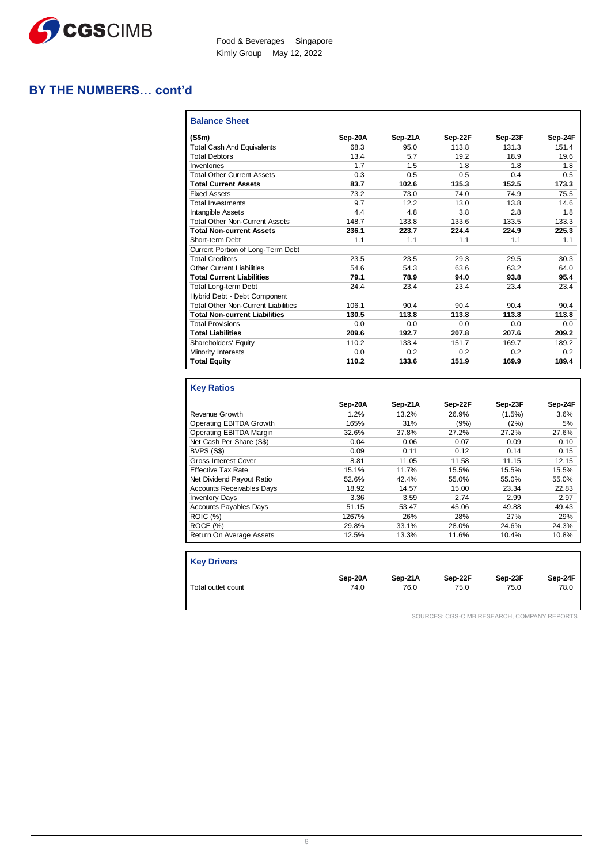

# **BY THE NUMBERS… cont'd**

| (S\$m)                                     | Sep-20A | Sep-21A | Sep-22F | Sep-23F | Sep-24F |
|--------------------------------------------|---------|---------|---------|---------|---------|
| <b>Total Cash And Equivalents</b>          | 68.3    | 95.0    | 113.8   | 131.3   | 151.4   |
| <b>Total Debtors</b>                       | 13.4    | 5.7     | 19.2    | 18.9    | 19.6    |
| Inventories                                | 1.7     | 1.5     | 1.8     | 1.8     | 1.8     |
| <b>Total Other Current Assets</b>          | 0.3     | 0.5     | 0.5     | 0.4     | 0.5     |
| <b>Total Current Assets</b>                | 83.7    | 102.6   | 135.3   | 152.5   | 173.3   |
| <b>Fixed Assets</b>                        | 73.2    | 73.0    | 74.0    | 74.9    | 75.5    |
| <b>Total Investments</b>                   | 9.7     | 12.2    | 13.0    | 13.8    | 14.6    |
| <b>Intangible Assets</b>                   | 4.4     | 4.8     | 3.8     | 2.8     | 1.8     |
| <b>Total Other Non-Current Assets</b>      | 148.7   | 133.8   | 133.6   | 133.5   | 133.3   |
| <b>Total Non-current Assets</b>            | 236.1   | 223.7   | 224.4   | 224.9   | 225.3   |
| Short-term Debt                            | 1.1     | 1.1     | 1.1     | 1.1     | 1.1     |
| Current Portion of Long-Term Debt          |         |         |         |         |         |
| <b>Total Creditors</b>                     | 23.5    | 23.5    | 29.3    | 29.5    | 30.3    |
| <b>Other Current Liabilities</b>           | 54.6    | 54.3    | 63.6    | 63.2    | 64.0    |
| <b>Total Current Liabilities</b>           | 79.1    | 78.9    | 94.0    | 93.8    | 95.4    |
| Total Long-term Debt                       | 24.4    | 23.4    | 23.4    | 23.4    | 23.4    |
| Hybrid Debt - Debt Component               |         |         |         |         |         |
| <b>Total Other Non-Current Liabilities</b> | 106.1   | 90.4    | 90.4    | 90.4    | 90.4    |
| <b>Total Non-current Liabilities</b>       | 130.5   | 113.8   | 113.8   | 113.8   | 113.8   |
| <b>Total Provisions</b>                    | 0.0     | 0.0     | 0.0     | 0.0     | 0.0     |
| <b>Total Liabilities</b>                   | 209.6   | 192.7   | 207.8   | 207.6   | 209.2   |
| Shareholders' Equity                       | 110.2   | 133.4   | 151.7   | 169.7   | 189.2   |
| <b>Minority Interests</b>                  | 0.0     | 0.2     | 0.2     | 0.2     | 0.2     |
| <b>Total Equity</b>                        | 110.2   | 133.6   | 151.9   | 169.9   | 189.4   |

# **Key Ratios**

|                                  | Sep-20A | Sep-21A | Sep-22F | Sep-23F   | Sep-24F |
|----------------------------------|---------|---------|---------|-----------|---------|
| Revenue Growth                   | 1.2%    | 13.2%   | 26.9%   | $(1.5\%)$ | 3.6%    |
| Operating EBITDA Growth          | 165%    | 31%     | (9%)    | (2%)      | 5%      |
| Operating EBITDA Margin          | 32.6%   | 37.8%   | 27.2%   | 27.2%     | 27.6%   |
| Net Cash Per Share (S\$)         | 0.04    | 0.06    | 0.07    | 0.09      | 0.10    |
| BVPS (S\$)                       | 0.09    | 0.11    | 0.12    | 0.14      | 0.15    |
| Gross Interest Cover             | 8.81    | 11.05   | 11.58   | 11.15     | 12.15   |
| <b>Effective Tax Rate</b>        | 15.1%   | 11.7%   | 15.5%   | 15.5%     | 15.5%   |
| Net Dividend Payout Ratio        | 52.6%   | 42.4%   | 55.0%   | 55.0%     | 55.0%   |
| <b>Accounts Receivables Davs</b> | 18.92   | 14.57   | 15.00   | 23.34     | 22.83   |
| <b>Inventory Days</b>            | 3.36    | 3.59    | 2.74    | 2.99      | 2.97    |
| <b>Accounts Payables Days</b>    | 51.15   | 53.47   | 45.06   | 49.88     | 49.43   |
| <b>ROIC (%)</b>                  | 1267%   | 26%     | 28%     | 27%       | 29%     |
| ROCE (%)                         | 29.8%   | 33.1%   | 28.0%   | 24.6%     | 24.3%   |
| Return On Average Assets         | 12.5%   | 13.3%   | 11.6%   | 10.4%     | 10.8%   |

| <b>Key Drivers</b> |         |         |         |         |         |
|--------------------|---------|---------|---------|---------|---------|
|                    | Sep-20A | Sep-21A | Sep-22F | Sep-23F | Sep-24F |
| Total outlet count | 74.0    | 76.0    | 75.0    | 75.0    | 78.0    |

SOURCES: CGS-CIMB RESEARCH, COMPANY REPORTS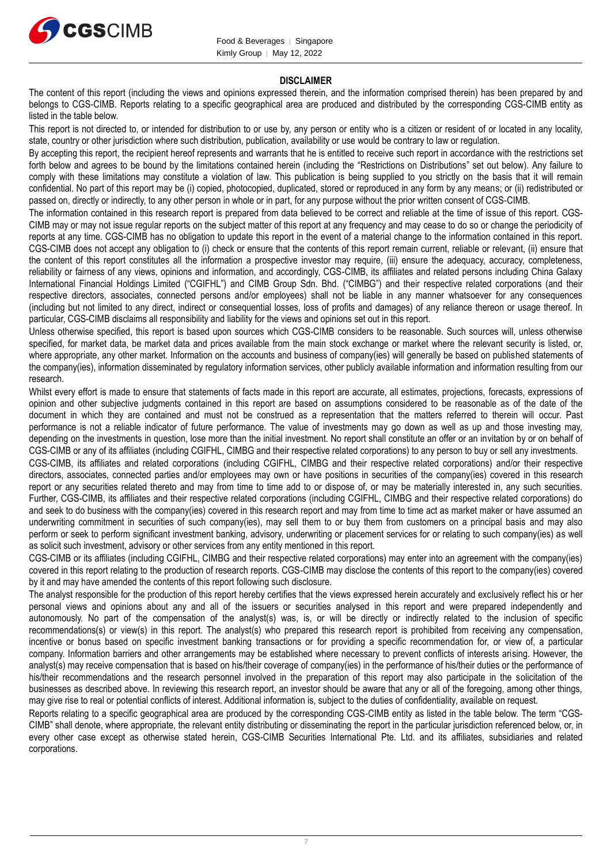

#### **DISCLAIMER**

The content of this report (including the views and opinions expressed therein, and the information comprised therein) has been prepared by and belongs to CGS-CIMB. Reports relating to a specific geographical area are produced and distributed by the corresponding CGS-CIMB entity as listed in the table below.

This report is not directed to, or intended for distribution to or use by, any person or entity who is a citizen or resident of or located in any locality, state, country or other jurisdiction where such distribution, publication, availability or use would be contrary to law or regulation.

By accepting this report, the recipient hereof represents and warrants that he is entitled to receive such report in accordance with the restrictions set forth below and agrees to be bound by the limitations contained herein (including the "Restrictions on Distributions" set out below). Any failure to comply with these limitations may constitute a violation of law. This publication is being supplied to you strictly on the basis that it will remain confidential. No part of this report may be (i) copied, photocopied, duplicated, stored or reproduced in any form by any means; or (ii) redistributed or passed on, directly or indirectly, to any other person in whole or in part, for any purpose without the prior written consent of CGS-CIMB.

The information contained in this research report is prepared from data believed to be correct and reliable at the time of issue of this report. CGS-CIMB may or may not issue regular reports on the subject matter of this report at any frequency and may cease to do so or change the periodicity of reports at any time. CGS-CIMB has no obligation to update this report in the event of a material change to the information contained in this report. CGS-CIMB does not accept any obligation to (i) check or ensure that the contents of this report remain current, reliable or relevant, (ii) ensure that the content of this report constitutes all the information a prospective investor may require, (iii) ensure the adequacy, accuracy, completeness, reliability or fairness of any views, opinions and information, and accordingly, CGS-CIMB, its affiliates and related persons including China Galaxy International Financial Holdings Limited ("CGIFHL") and CIMB Group Sdn. Bhd. ("CIMBG") and their respective related corporations (and their respective directors, associates, connected persons and/or employees) shall not be liable in any manner whatsoever for any consequences (including but not limited to any direct, indirect or consequential losses, loss of profits and damages) of any reliance thereon or usage thereof. In particular, CGS-CIMB disclaims all responsibility and liability for the views and opinions set out in this report.

Unless otherwise specified, this report is based upon sources which CGS-CIMB considers to be reasonable. Such sources will, unless otherwise specified, for market data, be market data and prices available from the main stock exchange or market where the relevant security is listed, or, where appropriate, any other market. Information on the accounts and business of company(ies) will generally be based on published statements of the company(ies), information disseminated by regulatory information services, other publicly available information and information resulting from our research.

Whilst every effort is made to ensure that statements of facts made in this report are accurate, all estimates, projections, forecasts, expressions of opinion and other subjective judgments contained in this report are based on assumptions considered to be reasonable as of the date of the document in which they are contained and must not be construed as a representation that the matters referred to therein will occur. Past performance is not a reliable indicator of future performance. The value of investments may go down as well as up and those investing may, depending on the investments in question, lose more than the initial investment. No report shall constitute an offer or an invitation by or on behalf of CGS-CIMB or any of its affiliates (including CGIFHL, CIMBG and their respective related corporations) to any person to buy or sell any investments.

CGS-CIMB, its affiliates and related corporations (including CGIFHL, CIMBG and their respective related corporations) and/or their respective directors, associates, connected parties and/or employees may own or have positions in securities of the company(ies) covered in this research report or any securities related thereto and may from time to time add to or dispose of, or may be materially interested in, any such securities. Further, CGS-CIMB, its affiliates and their respective related corporations (including CGIFHL, CIMBG and their respective related corporations) do and seek to do business with the company(ies) covered in this research report and may from time to time act as market maker or have assumed an underwriting commitment in securities of such company(ies), may sell them to or buy them from customers on a principal basis and may also perform or seek to perform significant investment banking, advisory, underwriting or placement services for or relating to such company(ies) as well as solicit such investment, advisory or other services from any entity mentioned in this report.

CGS-CIMB or its affiliates (including CGIFHL, CIMBG and their respective related corporations) may enter into an agreement with the company(ies) covered in this report relating to the production of research reports. CGS-CIMB may disclose the contents of this report to the company(ies) covered by it and may have amended the contents of this report following such disclosure.

The analyst responsible for the production of this report hereby certifies that the views expressed herein accurately and exclusively reflect his or her personal views and opinions about any and all of the issuers or securities analysed in this report and were prepared independently and autonomously. No part of the compensation of the analyst(s) was, is, or will be directly or indirectly related to the inclusion of specific recommendations(s) or view(s) in this report. The analyst(s) who prepared this research report is prohibited from receiving any compensation, incentive or bonus based on specific investment banking transactions or for providing a specific recommendation for, or view of, a particular company. Information barriers and other arrangements may be established where necessary to prevent conflicts of interests arising. However, the analyst(s) may receive compensation that is based on his/their coverage of company(ies) in the performance of his/their duties or the performance of his/their recommendations and the research personnel involved in the preparation of this report may also participate in the solicitation of the businesses as described above. In reviewing this research report, an investor should be aware that any or all of the foregoing, among other things, may give rise to real or potential conflicts of interest. Additional information is, subject to the duties of confidentiality, available on request.

Reports relating to a specific geographical area are produced by the corresponding CGS-CIMB entity as listed in the table below. The term "CGS-CIMB" shall denote, where appropriate, the relevant entity distributing or disseminating the report in the particular jurisdiction referenced below, or, in every other case except as otherwise stated herein, CGS-CIMB Securities International Pte. Ltd. and its affiliates, subsidiaries and related corporations.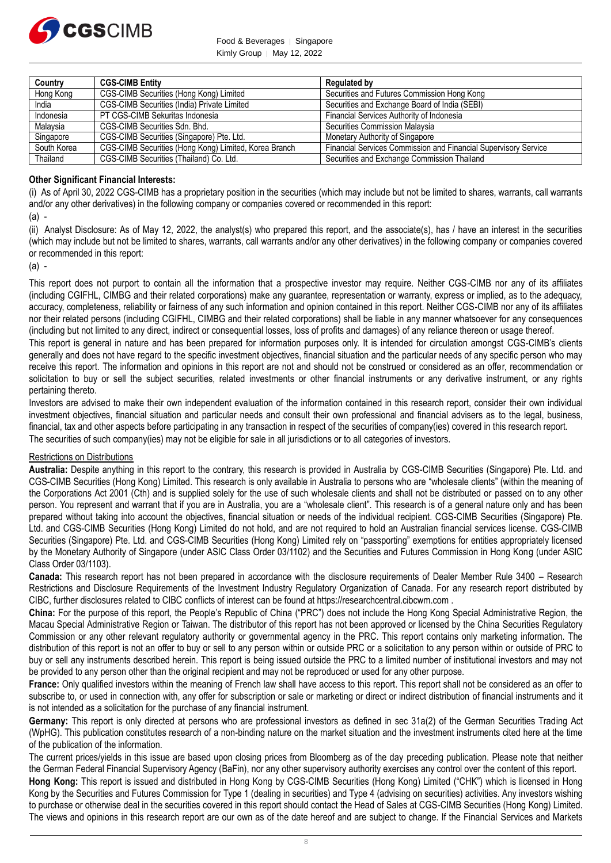

Food & Beverages | Singapore Kimly Group | May 12, 2022

| Country     | <b>CGS-CIMB Entity</b>                                | <b>Regulated by</b>                                                    |
|-------------|-------------------------------------------------------|------------------------------------------------------------------------|
| Hong Kong   | CGS-CIMB Securities (Hong Kong) Limited               | Securities and Futures Commission Hong Kong                            |
| India       | CGS-CIMB Securities (India) Private Limited           | Securities and Exchange Board of India (SEBI)                          |
| Indonesia   | PT CGS-CIMB Sekuritas Indonesia                       | Financial Services Authority of Indonesia                              |
| Malaysia    | CGS-CIMB Securities Sdn. Bhd.                         | Securities Commission Malaysia                                         |
| Singapore   | CGS-CIMB Securities (Singapore) Pte. Ltd.             | Monetary Authority of Singapore                                        |
| South Korea | CGS-CIMB Securities (Hong Kong) Limited, Korea Branch | <b>Financial Services Commission and Financial Supervisory Service</b> |
| Thailand    | CGS-CIMB Securities (Thailand) Co. Ltd.               | Securities and Exchange Commission Thailand                            |

## **Other Significant Financial Interests:**

(i) As of April 30, 2022 CGS-CIMB has a proprietary position in the securities (which may include but not be limited to shares, warrants, call warrants and/or any other derivatives) in the following company or companies covered or recommended in this report:

(a) -

(ii) Analyst Disclosure: As of May 12, 2022, the analyst(s) who prepared this report, and the associate(s), has / have an interest in the securities (which may include but not be limited to shares, warrants, call warrants and/or any other derivatives) in the following company or companies covered or recommended in this report:

(a) -

This report does not purport to contain all the information that a prospective investor may require. Neither CGS-CIMB nor any of its affiliates (including CGIFHL, CIMBG and their related corporations) make any guarantee, representation or warranty, express or implied, as to the adequacy, accuracy, completeness, reliability or fairness of any such information and opinion contained in this report. Neither CGS-CIMB nor any of its affiliates nor their related persons (including CGIFHL, CIMBG and their related corporations) shall be liable in any manner whatsoever for any consequences (including but not limited to any direct, indirect or consequential losses, loss of profits and damages) of any reliance thereon or usage thereof.

This report is general in nature and has been prepared for information purposes only. It is intended for circulation amongst CGS-CIMB's clients generally and does not have regard to the specific investment objectives, financial situation and the particular needs of any specific person who may receive this report. The information and opinions in this report are not and should not be construed or considered as an offer, recommendation or solicitation to buy or sell the subject securities, related investments or other financial instruments or any derivative instrument, or any rights pertaining thereto.

Investors are advised to make their own independent evaluation of the information contained in this research report, consider their own individual investment objectives, financial situation and particular needs and consult their own professional and financial advisers as to the legal, business, financial, tax and other aspects before participating in any transaction in respect of the securities of company(ies) covered in this research report. The securities of such company(ies) may not be eligible for sale in all jurisdictions or to all categories of investors.

#### Restrictions on Distributions

**Australia:** Despite anything in this report to the contrary, this research is provided in Australia by CGS-CIMB Securities (Singapore) Pte. Ltd. and CGS-CIMB Securities (Hong Kong) Limited. This research is only available in Australia to persons who are "wholesale clients" (within the meaning of the Corporations Act 2001 (Cth) and is supplied solely for the use of such wholesale clients and shall not be distributed or passed on to any other person. You represent and warrant that if you are in Australia, you are a "wholesale client". This research is of a general nature only and has been prepared without taking into account the objectives, financial situation or needs of the individual recipient. CGS-CIMB Securities (Singapore) Pte. Ltd. and CGS-CIMB Securities (Hong Kong) Limited do not hold, and are not required to hold an Australian financial services license. CGS-CIMB Securities (Singapore) Pte. Ltd. and CGS-CIMB Securities (Hong Kong) Limited rely on "passporting" exemptions for entities appropriately licensed by the Monetary Authority of Singapore (under ASIC Class Order 03/1102) and the Securities and Futures Commission in Hong Kong (under ASIC Class Order 03/1103).

**Canada:** This research report has not been prepared in accordance with the disclosure requirements of Dealer Member Rule 3400 – Research Restrictions and Disclosure Requirements of the Investment Industry Regulatory Organization of Canada. For any research report distributed by CIBC, further disclosures related to CIBC conflicts of interest can be found at https://researchcentral.cibcwm.com .

**China:** For the purpose of this report, the People's Republic of China ("PRC") does not include the Hong Kong Special Administrative Region, the Macau Special Administrative Region or Taiwan. The distributor of this report has not been approved or licensed by the China Securities Regulatory Commission or any other relevant regulatory authority or governmental agency in the PRC. This report contains only marketing information. The distribution of this report is not an offer to buy or sell to any person within or outside PRC or a solicitation to any person within or outside of PRC to buy or sell any instruments described herein. This report is being issued outside the PRC to a limited number of institutional investors and may not be provided to any person other than the original recipient and may not be reproduced or used for any other purpose.

**France:** Only qualified investors within the meaning of French law shall have access to this report. This report shall not be considered as an offer to subscribe to, or used in connection with, any offer for subscription or sale or marketing or direct or indirect distribution of financial instruments and it is not intended as a solicitation for the purchase of any financial instrument.

**Germany:** This report is only directed at persons who are professional investors as defined in sec 31a(2) of the German Securities Trading Act (WpHG). This publication constitutes research of a non-binding nature on the market situation and the investment instruments cited here at the time of the publication of the information.

The current prices/yields in this issue are based upon closing prices from Bloomberg as of the day preceding publication. Please note that neither the German Federal Financial Supervisory Agency (BaFin), nor any other supervisory authority exercises any control over the content of this report.

**Hong Kong:** This report is issued and distributed in Hong Kong by CGS-CIMB Securities (Hong Kong) Limited ("CHK") which is licensed in Hong Kong by the Securities and Futures Commission for Type 1 (dealing in securities) and Type 4 (advising on securities) activities. Any investors wishing to purchase or otherwise deal in the securities covered in this report should contact the Head of Sales at CGS-CIMB Securities (Hong Kong) Limited. The views and opinions in this research report are our own as of the date hereof and are subject to change. If the Financial Services and Markets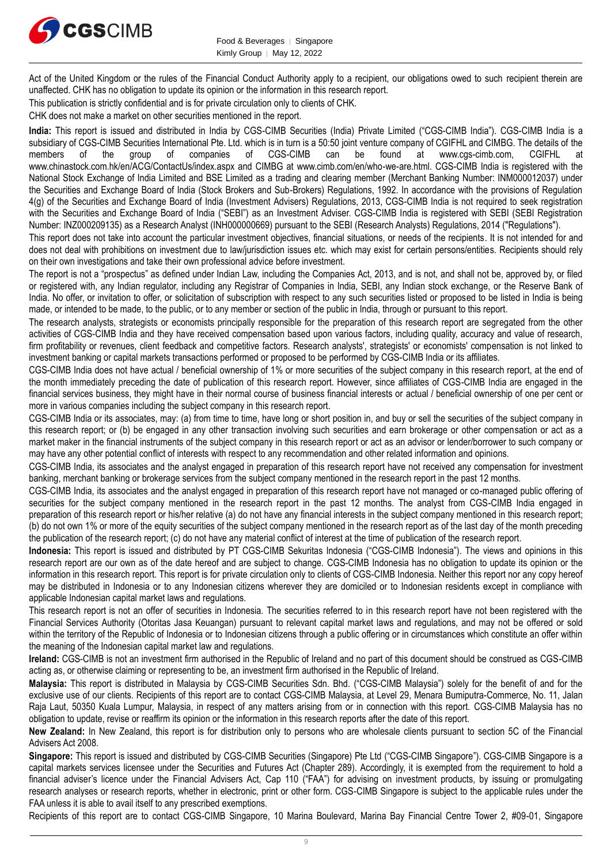

Act of the United Kingdom or the rules of the Financial Conduct Authority apply to a recipient, our obligations owed to such recipient therein are unaffected. CHK has no obligation to update its opinion or the information in this research report.

This publication is strictly confidential and is for private circulation only to clients of CHK.

CHK does not make a market on other securities mentioned in the report.

**India:** This report is issued and distributed in India by CGS-CIMB Securities (India) Private Limited ("CGS-CIMB India"). CGS-CIMB India is a subsidiary of CGS-CIMB Securities International Pte. Ltd. which is in turn is a 50:50 joint venture company of CGIFHL and CIMBG. The details of the members of the group of companies of CGS-CIMB can be found at www.cgs-cimb.com, CGIFHL at www.chinastock.com.hk/en/ACG/ContactUs/index.aspx and CIMBG at www.cimb.com/en/who-we-are.html. CGS-CIMB India is registered with the National Stock Exchange of India Limited and BSE Limited as a trading and clearing member (Merchant Banking Number: INM000012037) under the Securities and Exchange Board of India (Stock Brokers and Sub-Brokers) Regulations, 1992. In accordance with the provisions of Regulation 4(g) of the Securities and Exchange Board of India (Investment Advisers) Regulations, 2013, CGS-CIMB India is not required to seek registration with the Securities and Exchange Board of India ("SEBI") as an Investment Adviser. CGS-CIMB India is registered with SEBI (SEBI Registration Number: INZ000209135) as a Research Analyst (INH000000669) pursuant to the SEBI (Research Analysts) Regulations, 2014 ("Regulations").

This report does not take into account the particular investment objectives, financial situations, or needs of the recipients. It is not intended for and does not deal with prohibitions on investment due to law/jurisdiction issues etc. which may exist for certain persons/entities. Recipients should rely on their own investigations and take their own professional advice before investment.

The report is not a "prospectus" as defined under Indian Law, including the Companies Act, 2013, and is not, and shall not be, approved by, or filed or registered with, any Indian regulator, including any Registrar of Companies in India, SEBI, any Indian stock exchange, or the Reserve Bank of India. No offer, or invitation to offer, or solicitation of subscription with respect to any such securities listed or proposed to be listed in India is being made, or intended to be made, to the public, or to any member or section of the public in India, through or pursuant to this report.

The research analysts, strategists or economists principally responsible for the preparation of this research report are segregated from the other activities of CGS-CIMB India and they have received compensation based upon various factors, including quality, accuracy and value of research, firm profitability or revenues, client feedback and competitive factors. Research analysts', strategists' or economists' compensation is not linked to investment banking or capital markets transactions performed or proposed to be performed by CGS-CIMB India or its affiliates.

CGS-CIMB India does not have actual / beneficial ownership of 1% or more securities of the subject company in this research report, at the end of the month immediately preceding the date of publication of this research report. However, since affiliates of CGS-CIMB India are engaged in the financial services business, they might have in their normal course of business financial interests or actual / beneficial ownership of one per cent or more in various companies including the subject company in this research report.

CGS-CIMB India or its associates, may: (a) from time to time, have long or short position in, and buy or sell the securities of the subject company in this research report; or (b) be engaged in any other transaction involving such securities and earn brokerage or other compensation or act as a market maker in the financial instruments of the subject company in this research report or act as an advisor or lender/borrower to such company or may have any other potential conflict of interests with respect to any recommendation and other related information and opinions.

CGS-CIMB India, its associates and the analyst engaged in preparation of this research report have not received any compensation for investment banking, merchant banking or brokerage services from the subject company mentioned in the research report in the past 12 months.

CGS-CIMB India, its associates and the analyst engaged in preparation of this research report have not managed or co-managed public offering of securities for the subject company mentioned in the research report in the past 12 months. The analyst from CGS-CIMB India engaged in preparation of this research report or his/her relative (a) do not have any financial interests in the subject company mentioned in this research report; (b) do not own 1% or more of the equity securities of the subject company mentioned in the research report as of the last day of the month preceding the publication of the research report; (c) do not have any material conflict of interest at the time of publication of the research report.

**Indonesia:** This report is issued and distributed by PT CGS-CIMB Sekuritas Indonesia ("CGS-CIMB Indonesia"). The views and opinions in this research report are our own as of the date hereof and are subject to change. CGS-CIMB Indonesia has no obligation to update its opinion or the information in this research report. This report is for private circulation only to clients of CGS-CIMB Indonesia. Neither this report nor any copy hereof may be distributed in Indonesia or to any Indonesian citizens wherever they are domiciled or to Indonesian residents except in compliance with applicable Indonesian capital market laws and regulations.

This research report is not an offer of securities in Indonesia. The securities referred to in this research report have not been registered with the Financial Services Authority (Otoritas Jasa Keuangan) pursuant to relevant capital market laws and regulations, and may not be offered or sold within the territory of the Republic of Indonesia or to Indonesian citizens through a public offering or in circumstances which constitute an offer within the meaning of the Indonesian capital market law and regulations.

**Ireland:** CGS-CIMB is not an investment firm authorised in the Republic of Ireland and no part of this document should be construed as CGS-CIMB acting as, or otherwise claiming or representing to be, an investment firm authorised in the Republic of Ireland.

**Malaysia:** This report is distributed in Malaysia by CGS-CIMB Securities Sdn. Bhd. ("CGS-CIMB Malaysia") solely for the benefit of and for the exclusive use of our clients. Recipients of this report are to contact CGS-CIMB Malaysia, at Level 29, Menara Bumiputra-Commerce, No. 11, Jalan Raja Laut, 50350 Kuala Lumpur, Malaysia, in respect of any matters arising from or in connection with this report. CGS-CIMB Malaysia has no obligation to update, revise or reaffirm its opinion or the information in this research reports after the date of this report.

**New Zealand:** In New Zealand, this report is for distribution only to persons who are wholesale clients pursuant to section 5C of the Financial Advisers Act 2008.

**Singapore:** This report is issued and distributed by CGS-CIMB Securities (Singapore) Pte Ltd ("CGS-CIMB Singapore"). CGS-CIMB Singapore is a capital markets services licensee under the Securities and Futures Act (Chapter 289). Accordingly, it is exempted from the requirement to hold a financial adviser's licence under the Financial Advisers Act, Cap 110 ("FAA") for advising on investment products, by issuing or promulgating research analyses or research reports, whether in electronic, print or other form. CGS-CIMB Singapore is subject to the applicable rules under the FAA unless it is able to avail itself to any prescribed exemptions.

Recipients of this report are to contact CGS-CIMB Singapore, 10 Marina Boulevard, Marina Bay Financial Centre Tower 2, #09-01, Singapore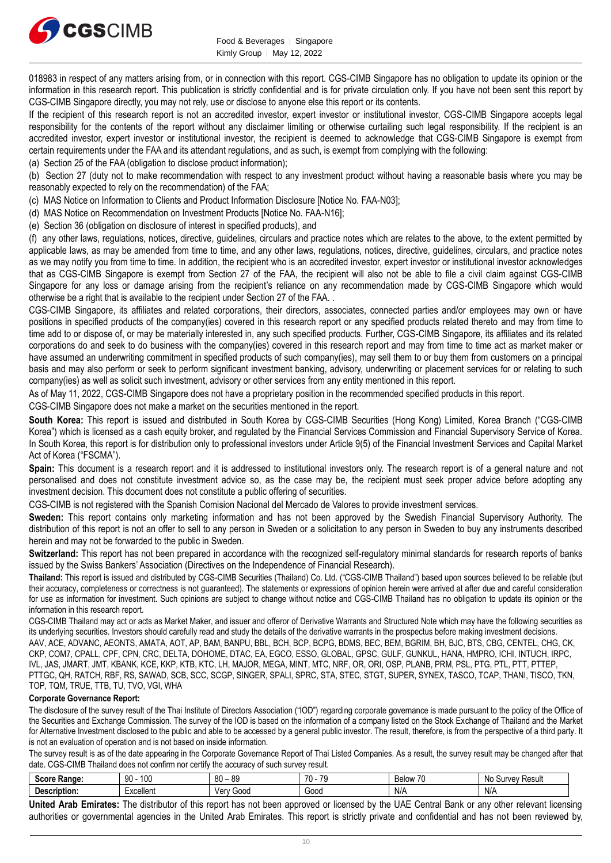

018983 in respect of any matters arising from, or in connection with this report. CGS-CIMB Singapore has no obligation to update its opinion or the information in this research report. This publication is strictly confidential and is for private circulation only. If you have not been sent this report by CGS-CIMB Singapore directly, you may not rely, use or disclose to anyone else this report or its contents.

If the recipient of this research report is not an accredited investor, expert investor or institutional investor, CGS-CIMB Singapore accepts legal responsibility for the contents of the report without any disclaimer limiting or otherwise curtailing such legal responsibility. If the recipient is an accredited investor, expert investor or institutional investor, the recipient is deemed to acknowledge that CGS-CIMB Singapore is exempt from certain requirements under the FAA and its attendant regulations, and as such, is exempt from complying with the following:

(a) Section 25 of the FAA (obligation to disclose product information);

(b) Section 27 (duty not to make recommendation with respect to any investment product without having a reasonable basis where you may be reasonably expected to rely on the recommendation) of the FAA;

(c) MAS Notice on Information to Clients and Product Information Disclosure [Notice No. FAA-N03];

(d) MAS Notice on Recommendation on Investment Products [Notice No. FAA-N16];

(e) Section 36 (obligation on disclosure of interest in specified products), and

(f) any other laws, regulations, notices, directive, guidelines, circulars and practice notes which are relates to the above, to the extent permitted by applicable laws, as may be amended from time to time, and any other laws, regulations, notices, directive, guidelines, circulars, and practice notes as we may notify you from time to time. In addition, the recipient who is an accredited investor, expert investor or institutional investor acknowledges that as CGS-CIMB Singapore is exempt from Section 27 of the FAA, the recipient will also not be able to file a civil claim against CGS-CIMB Singapore for any loss or damage arising from the recipient's reliance on any recommendation made by CGS-CIMB Singapore which would otherwise be a right that is available to the recipient under Section 27 of the FAA. .

CGS-CIMB Singapore, its affiliates and related corporations, their directors, associates, connected parties and/or employees may own or have positions in specified products of the company(ies) covered in this research report or any specified products related thereto and may from time to time add to or dispose of, or may be materially interested in, any such specified products. Further, CGS-CIMB Singapore, its affiliates and its related corporations do and seek to do business with the company(ies) covered in this research report and may from time to time act as market maker or have assumed an underwriting commitment in specified products of such company(ies), may sell them to or buy them from customers on a principal basis and may also perform or seek to perform significant investment banking, advisory, underwriting or placement services for or relating to such company(ies) as well as solicit such investment, advisory or other services from any entity mentioned in this report.

As of May 11, 2022, CGS-CIMB Singapore does not have a proprietary position in the recommended specified products in this report.

CGS-CIMB Singapore does not make a market on the securities mentioned in the report.

**South Korea:** This report is issued and distributed in South Korea by CGS-CIMB Securities (Hong Kong) Limited, Korea Branch ("CGS-CIMB Korea") which is licensed as a cash equity broker, and regulated by the Financial Services Commission and Financial Supervisory Service of Korea. In South Korea, this report is for distribution only to professional investors under Article 9(5) of the Financial Investment Services and Capital Market Act of Korea ("FSCMA").

**Spain:** This document is a research report and it is addressed to institutional investors only. The research report is of a general nature and not personalised and does not constitute investment advice so, as the case may be, the recipient must seek proper advice before adopting any investment decision. This document does not constitute a public offering of securities.

CGS-CIMB is not registered with the Spanish Comision Nacional del Mercado de Valores to provide investment services.

**Sweden:** This report contains only marketing information and has not been approved by the Swedish Financial Supervisory Authority. The distribution of this report is not an offer to sell to any person in Sweden or a solicitation to any person in Sweden to buy any instruments described herein and may not be forwarded to the public in Sweden.

**Switzerland:** This report has not been prepared in accordance with the recognized self-regulatory minimal standards for research reports of banks issued by the Swiss Bankers' Association (Directives on the Independence of Financial Research).

**Thailand:** This report is issued and distributed by CGS-CIMB Securities (Thailand) Co. Ltd. ("CGS-CIMB Thailand") based upon sources believed to be reliable (but their accuracy, completeness or correctness is not guaranteed). The statements or expressions of opinion herein were arrived at after due and careful consideration for use as information for investment. Such opinions are subject to change without notice and CGS-CIMB Thailand has no obligation to update its opinion or the information in this research report.

CGS-CIMB Thailand may act or acts as Market Maker, and issuer and offeror of Derivative Warrants and Structured Note which may have the following securities as its underlying securities. Investors should carefully read and study the details of the derivative warrants in the prospectus before making investment decisions.

AAV, ACE, ADVANC, AEONTS, AMATA, AOT, AP, BAM, BANPU, BBL, BCH, BCP, BCPG, BDMS, BEC, BEM, BGRIM, BH, BJC, BTS, CBG, CENTEL, CHG, CK, CKP, COM7, CPALL, CPF, CPN, CRC, DELTA, DOHOME, DTAC, EA, EGCO, ESSO, GLOBAL, GPSC, GULF, GUNKUL, HANA, HMPRO, ICHI, INTUCH, IRPC, IVL, JAS, JMART, JMT, KBANK, KCE, KKP, KTB, KTC, LH, MAJOR, MEGA, MINT, MTC, NRF, OR, ORI, OSP, PLANB, PRM, PSL, PTG, PTL, PTT, PTTEP, PTTGC, QH, RATCH, RBF, RS, SAWAD, SCB, SCC, SCGP, SINGER, SPALI, SPRC, STA, STEC, STGT, SUPER, SYNEX, TASCO, TCAP, THANI, TISCO, TKN, TOP, TQM, TRUE, TTB, TU, TVO, VGI, WHA

#### **Corporate Governance Report:**

The disclosure of the survey result of the Thai Institute of Directors Association ("IOD") regarding corporate governance is made pursuant to the policy of the Office of the Securities and Exchange Commission. The survey of the IOD is based on the information of a company listed on the Stock Exchange of Thailand and the Market for Alternative Investment disclosed to the public and able to be accessed by a general public investor. The result, therefore, is from the perspective of a third party. It is not an evaluation of operation and is not based on inside information.

The survey result is as of the date appearing in the Corporate Governance Report of Thai Listed Companies. As a result, the survey result may be changed after that date. CGS-CIMB Thailand does not confirm nor certify the accuracy of such survey result.

| 0.000<br>Range:           | 100<br>90                   | R∩<br>0C<br>ت∪ ∵<br>υυ  | 70<br>$\overline{\phantom{a}}$ | $\rightarrow$<br><b>Below</b><br>7 U | Resul<br>.No<br>$\cdots$<br>וכ<br>ve. |
|---------------------------|-----------------------------|-------------------------|--------------------------------|--------------------------------------|---------------------------------------|
| $100o-1$<br>.<br>ribtion: | .voallan<br>. A U<br>,,,,,, | 000د<br>$1/\rho r$<br>c | Gooc                           | $N$ /                                | N/A                                   |

**United Arab Emirates:** The distributor of this report has not been approved or licensed by the UAE Central Bank or any other relevant licensing authorities or governmental agencies in the United Arab Emirates. This report is strictly private and confidential and has not been reviewed by,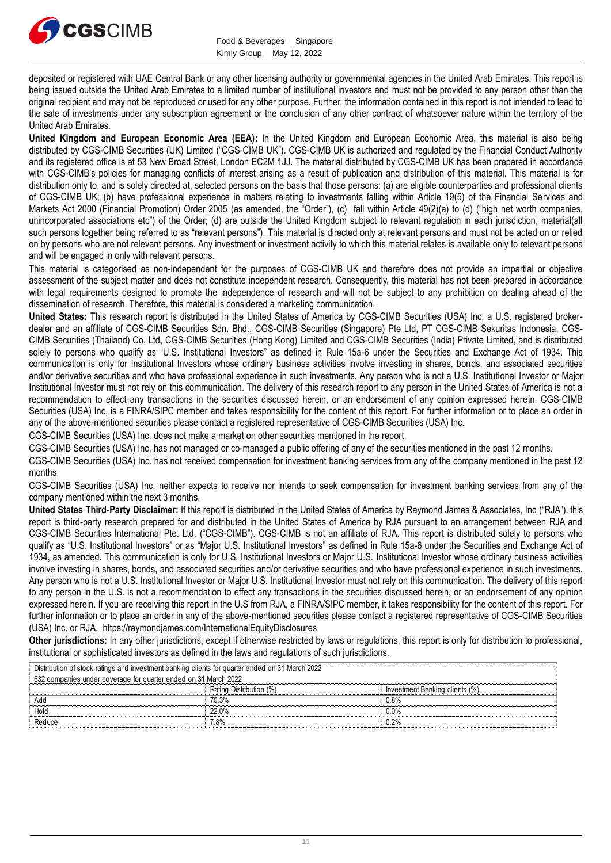

deposited or registered with UAE Central Bank or any other licensing authority or governmental agencies in the United Arab Emirates. This report is being issued outside the United Arab Emirates to a limited number of institutional investors and must not be provided to any person other than the original recipient and may not be reproduced or used for any other purpose. Further, the information contained in this report is not intended to lead to the sale of investments under any subscription agreement or the conclusion of any other contract of whatsoever nature within the territory of the United Arab Emirates.

**United Kingdom and European Economic Area (EEA):** In the United Kingdom and European Economic Area, this material is also being distributed by CGS-CIMB Securities (UK) Limited ("CGS-CIMB UK"). CGS-CIMB UK is authorized and regulated by the Financial Conduct Authority and its registered office is at 53 New Broad Street, London EC2M 1JJ. The material distributed by CGS-CIMB UK has been prepared in accordance with CGS-CIMB's policies for managing conflicts of interest arising as a result of publication and distribution of this material. This material is for distribution only to, and is solely directed at, selected persons on the basis that those persons: (a) are eligible counterparties and professional clients of CGS-CIMB UK; (b) have professional experience in matters relating to investments falling within Article 19(5) of the Financial Services and Markets Act 2000 (Financial Promotion) Order 2005 (as amended, the "Order"), (c) fall within Article 49(2)(a) to (d) ("high net worth companies, unincorporated associations etc") of the Order; (d) are outside the United Kingdom subject to relevant regulation in each jurisdiction, material(all such persons together being referred to as "relevant persons"). This material is directed only at relevant persons and must not be acted on or relied on by persons who are not relevant persons. Any investment or investment activity to which this material relates is available only to relevant persons and will be engaged in only with relevant persons.

This material is categorised as non-independent for the purposes of CGS-CIMB UK and therefore does not provide an impartial or objective assessment of the subject matter and does not constitute independent research. Consequently, this material has not been prepared in accordance with legal requirements designed to promote the independence of research and will not be subject to any prohibition on dealing ahead of the dissemination of research. Therefore, this material is considered a marketing communication.

**United States:** This research report is distributed in the United States of America by CGS-CIMB Securities (USA) Inc, a U.S. registered brokerdealer and an affiliate of CGS-CIMB Securities Sdn. Bhd., CGS-CIMB Securities (Singapore) Pte Ltd, PT CGS-CIMB Sekuritas Indonesia, CGS-CIMB Securities (Thailand) Co. Ltd, CGS-CIMB Securities (Hong Kong) Limited and CGS-CIMB Securities (India) Private Limited, and is distributed solely to persons who qualify as "U.S. Institutional Investors" as defined in Rule 15a-6 under the Securities and Exchange Act of 1934. This communication is only for Institutional Investors whose ordinary business activities involve investing in shares, bonds, and associated securities and/or derivative securities and who have professional experience in such investments. Any person who is not a U.S. Institutional Investor or Major Institutional Investor must not rely on this communication. The delivery of this research report to any person in the United States of America is not a recommendation to effect any transactions in the securities discussed herein, or an endorsement of any opinion expressed herein. CGS-CIMB Securities (USA) Inc, is a FINRA/SIPC member and takes responsibility for the content of this report. For further information or to place an order in any of the above-mentioned securities please contact a registered representative of CGS-CIMB Securities (USA) Inc.

CGS-CIMB Securities (USA) Inc. does not make a market on other securities mentioned in the report.

CGS-CIMB Securities (USA) Inc. has not managed or co-managed a public offering of any of the securities mentioned in the past 12 months.

CGS-CIMB Securities (USA) Inc. has not received compensation for investment banking services from any of the company mentioned in the past 12 months.

CGS-CIMB Securities (USA) Inc. neither expects to receive nor intends to seek compensation for investment banking services from any of the company mentioned within the next 3 months.

**United States Third-Party Disclaimer:** If this report is distributed in the United States of America by Raymond James & Associates, Inc ("RJA"), this report is third-party research prepared for and distributed in the United States of America by RJA pursuant to an arrangement between RJA and CGS-CIMB Securities International Pte. Ltd. ("CGS-CIMB"). CGS-CIMB is not an affiliate of RJA. This report is distributed solely to persons who qualify as "U.S. Institutional Investors" or as "Major U.S. Institutional Investors" as defined in Rule 15a-6 under the Securities and Exchange Act of 1934, as amended. This communication is only for U.S. Institutional Investors or Major U.S. Institutional Investor whose ordinary business activities involve investing in shares, bonds, and associated securities and/or derivative securities and who have professional experience in such investments. Any person who is not a U.S. Institutional Investor or Major U.S. Institutional Investor must not rely on this communication. The delivery of this report to any person in the U.S. is not a recommendation to effect any transactions in the securities discussed herein, or an endorsement of any opinion expressed herein. If you are receiving this report in the U.S from RJA, a FINRA/SIPC member, it takes responsibility for the content of this report. For further information or to place an order in any of the above-mentioned securities please contact a registered representative of CGS-CIMB Securities (USA) Inc. or RJA. https://raymondjames.com/InternationalEquityDisclosures

**Other jurisdictions:** In any other jurisdictions, except if otherwise restricted by laws or regulations, this report is only for distribution to professional, institutional or sophisticated investors as defined in the laws and regulations of such jurisdictions.

| Distribution of stock ratings and investment banking clients for quarter ended on 31 March 2022 |                         |                                |  |  |  |
|-------------------------------------------------------------------------------------------------|-------------------------|--------------------------------|--|--|--|
| 632 companies under coverage for quarter ended on 31 March 2022                                 |                         |                                |  |  |  |
|                                                                                                 | Rating Distribution (%) | Investment Banking clients (%) |  |  |  |
| Add                                                                                             | 70.3%                   | 0.8%                           |  |  |  |
| Hold                                                                                            | 22.0%                   | $0.0\%$                        |  |  |  |
| Reduce                                                                                          | 7.8%                    | 0.2%                           |  |  |  |